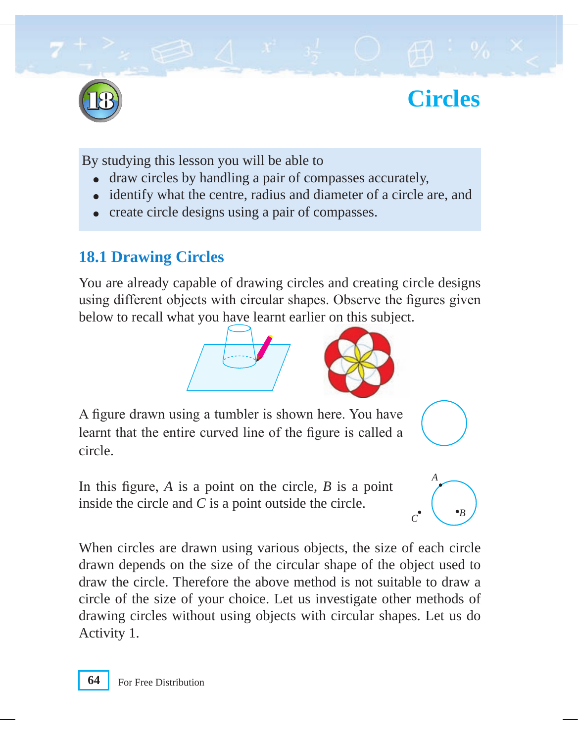

18 **Circles**

By studying this lesson you will be able to

- draw circles by handling a pair of compasses accurately,
- identify what the centre, radius and diameter of a circle are, and
- create circle designs using a pair of compasses.

# **18.1 Drawing Circles**

You are already capable of drawing circles and creating circle designs using different objects with circular shapes. Observe the figures given below to recall what you have learnt earlier on this subject.



A figure drawn using a tumbler is shown here. You have learnt that the entire curved line of the figure is called a circle.

In this figure, *A* is a point on the circle, *B* is a point inside the circle and *C* is a point outside the circle.



When circles are drawn using various objects, the size of each circle drawn depends on the size of the circular shape of the object used to draw the circle. Therefore the above method is not suitable to draw a circle of the size of your choice. Let us investigate other methods of drawing circles without using objects with circular shapes. Let us do Activity 1.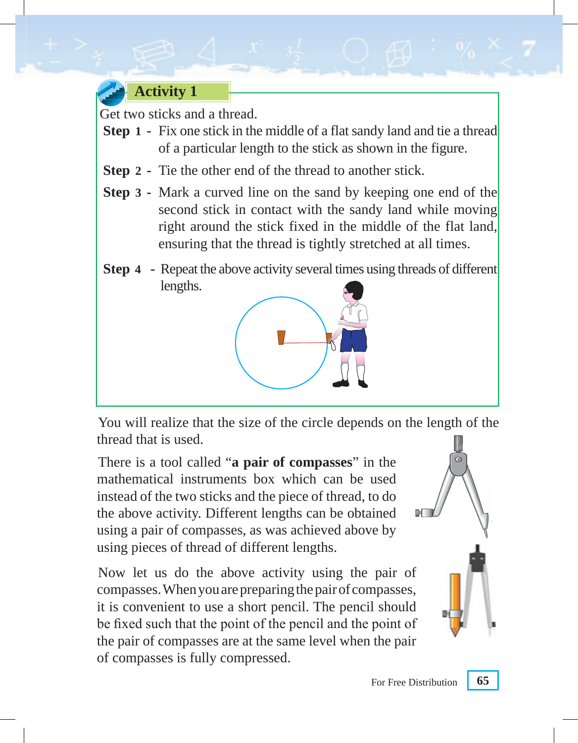

Get two sticks and a thread.

- **Step 1 -** Fix one stick in the middle of a flat sandy land and tie a thread of a particular length to the stick as shown in the figure.
- **Step 2** Tie the other end of the thread to another stick.
- **Step 3** Mark a curved line on the sand by keeping one end of the second stick in contact with the sandy land while moving right around the stick fixed in the middle of the flat land, ensuring that the thread is tightly stretched at all times.
- **Step 4** Repeat the above activity several times using threads of different lengths.



You will realize that the size of the circle depends on the length of the thread that is used.

There is a tool called "**a pair of compasses**" in the mathematical instruments box which can be used instead of the two sticks and the piece of thread, to do the above activity. Different lengths can be obtained using a pair of compasses, as was achieved above by using pieces of thread of different lengths.

Now let us do the above activity using the pair of compasses. When you are preparing the pair of compasses, it is convenient to use a short pencil. The pencil should be fixed such that the point of the pencil and the point of the pair of compasses are at the same level when the pair of compasses is fully compressed.

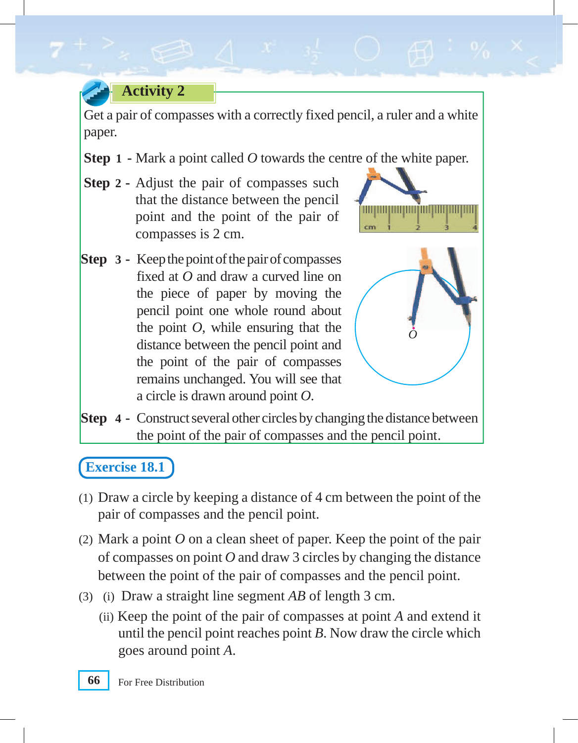# **Activity 2**

Get a pair of compasses with a correctly fixed pencil, a ruler and a white paper.

- **Step 1** Mark a point called *O* towards the centre of the white paper.
- **Step 2** Adjust the pair of compasses such that the distance between the pencil point and the point of the pair of compasses is 2 cm.



**Step 3 -** Keep the point of the pair of compasses fixed at *O* and draw a curved line on the piece of paper by moving the pencil point one whole round about the point *O*, while ensuring that the distance between the pencil point and the point of the pair of compasses remains unchanged. You will see that a circle is drawn around point *O*.



**Step 4 -** Construct several other circles by changing the distance between the point of the pair of compasses and the pencil point.

## **Exercise 18.1**

- (1) Draw a circle by keeping a distance of 4 cm between the point of the pair of compasses and the pencil point.
- (2) Mark a point *O* on a clean sheet of paper. Keep the point of the pair of compasses on point *O* and draw 3 circles by changing the distance between the point of the pair of compasses and the pencil point.
- (3) (i) Draw a straight line segment *AB* of length 3 cm.
	- (ii) Keep the point of the pair of compasses at point *A* and extend it until the pencil point reaches point *B*. Now draw the circle which goes around point *A*.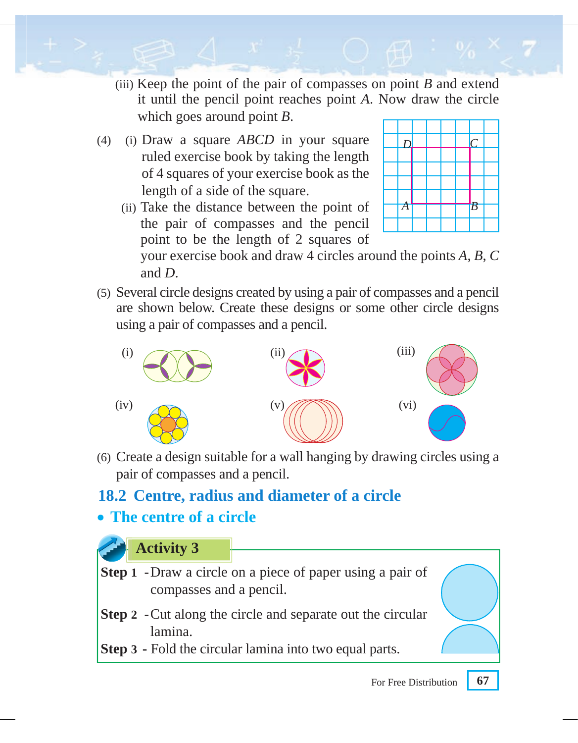- (iii) Keep the point of the pair of compasses on point *B* and extend it until the pencil point reaches point *A*. Now draw the circle which goes around point *B*.
- (4) (i) Draw a square *ABCD* in your square  $\Box$ ruled exercise book by taking the length of 4 squares of your exercise book as the length of a side of the square.
	- (ii) Take the distance between the point of the pair of compasses and the pencil point to be the length of 2 squares of



your exercise book and draw 4 circles around the points *A*, *B*, *C* and *D*.

(5) Several circle designs created by using a pair of compasses and a pencil are shown below. Create these designs or some other circle designs using a pair of compasses and a pencil.



 (6) Create a design suitable for a wall hanging by drawing circles using a pair of compasses and a pencil.

# **18.2 Centre, radius and diameter of a circle**

## • **The centre of a circle**

#### **Activity 3**

- **Step 1** Draw a circle on a piece of paper using a pair of **Step**compasses and a pencil.
- **Step 2 -** Cut along the circle and separate out the circular lamina.
- **Step 3** Fold the circular lamina into two equal parts.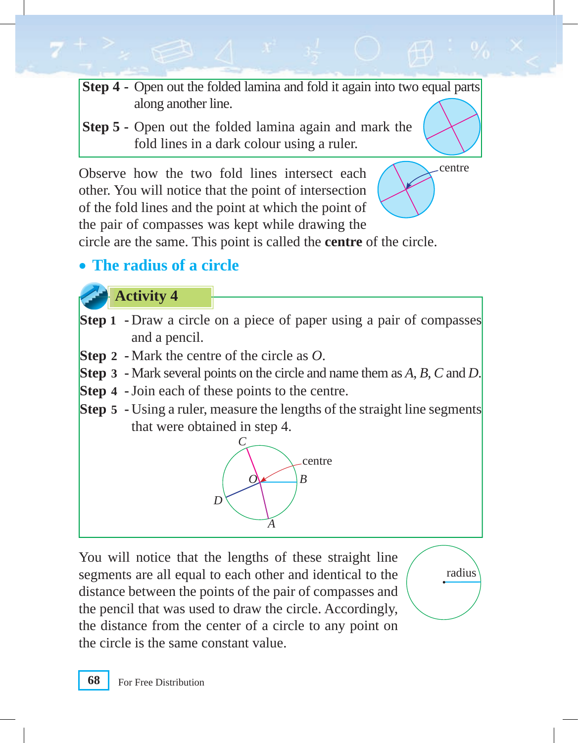- **Step 4 Open out the folded lamina and fold it again into two equal parts** along another line.
- **Step 5 -** Open out the folded lamina again and mark the fold lines in a dark colour using a ruler.

Observe how the two fold lines intersect each  $\bigwedge$  centre other. You will notice that the point of intersection of the fold lines and the point at which the point of the pair of compasses was kept while drawing the circle are the same. This point is called the **centre** of the circle.



radius

• **The radius of a circle**

**Activity 4**

- **Step 1 -** Draw a circle on a piece of paper using a pair of compasses and a pencil.
- **Step 2** Mark the centre of the circle as *O*.
- **Step 3** Mark several points on the circle and name them as *A*, *B*, *C* and *D*.
- **Step 4 -** Join each of these points to the centre.
- **Step 5 -** Using a ruler, measure the lengths of the straight line segments that were obtained in step 4.



You will notice that the lengths of these straight line segments are all equal to each other and identical to the distance between the points of the pair of compasses and the pencil that was used to draw the circle. Accordingly, the distance from the center of a circle to any point on the circle is the same constant value.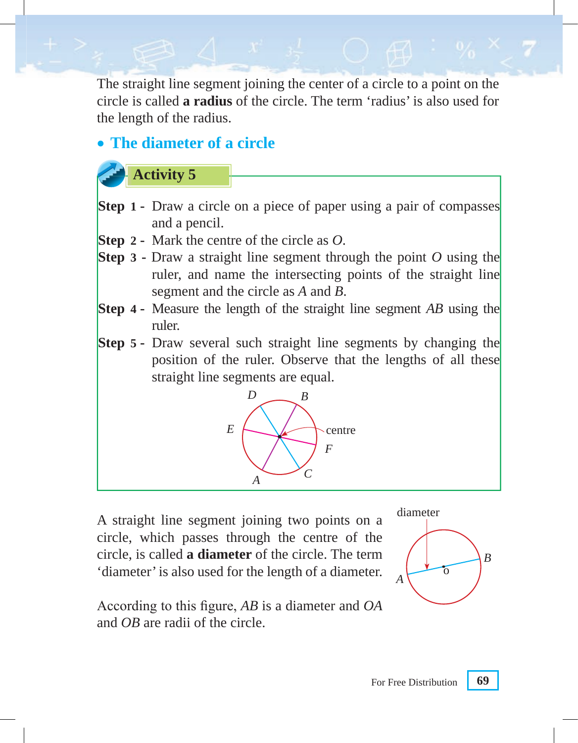The straight line segment joining the center of a circle to a point on the circle is called **a radius** of the circle. The term 'radius' is also used for the length of the radius.

#### • **The diameter of a circle**

#### **Activity 5**

- **Step 1 •** Draw a circle on a piece of paper using a pair of compasses and a pencil.
- **Step 2 -** Mark the centre of the circle as *O*.
- **Step 3 -** Draw a straight line segment through the point *O* using the ruler, and name the intersecting points of the straight line segment and the circle as *A* and *B*.
- **Step 4 -** Measure the length of the straight line segment *AB* using the ruler.
- **Step 5 -** Draw several such straight line segments by changing the position of the ruler. Observe that the lengths of all these straight line segments are equal.



A straight line segment joining two points on a circle, which passes through the centre of the circle, is called **a diameter** of the circle. The term 'diameter' is also used for the length of a diameter.



According to this figure, *AB* is a diameter and *OA* and *OB* are radii of the circle.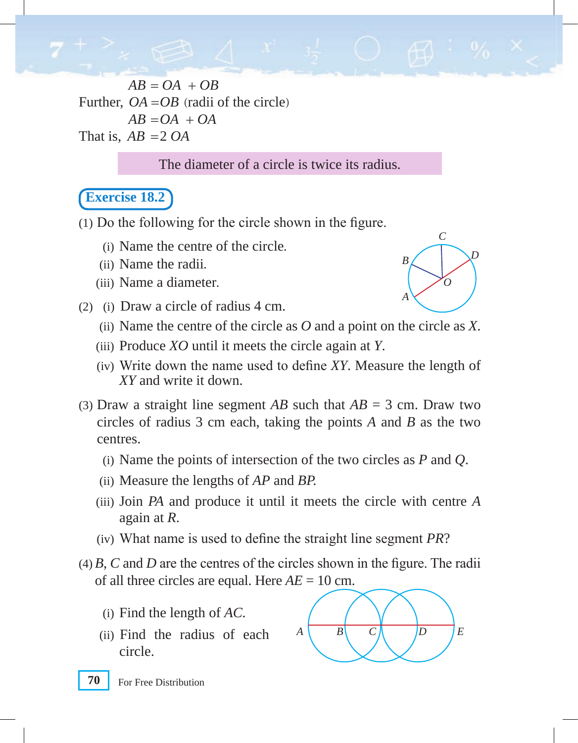$AB = OA + OB$ Further,  $OA = OB$  (radii of the circle)  $AB = OA + OA$ That is,  $AB = 2 OA$ 

The diameter of a circle is twice its radius.

#### **Exercise 18.2**

(1) Do the following for the circle shown in the figure.

- (i) Name the centre of the circle.
- (ii) Name the radii.
- (iii) Name a diameter.
- (2) (i) Draw a circle of radius 4 cm.



- (iii) Produce *XO* until it meets the circle again at *Y*.
- (iv) Write down the name used to define *XY*. Measure the length of *XY* and write it down.
- (3) Draw a straight line segment  $AB$  such that  $AB = 3$  cm. Draw two circles of radius 3 cm each, taking the points *A* and *B* as the two centres.
	- (i) Name the points of intersection of the two circles as *P* and *Q*.
	- (ii) Measure the lengths of *AP* and *BP.*
	- (iii) Join *PA* and produce it until it meets the circle with centre *A* again at *R*.
	- (iv) What name is used to define the straight line segment *PR*?
- (4) *B*, *C* and *D* are the centres of the circles shown in the figure. The radii of all three circles are equal. Here *AE* = 10 cm.
	- (i) Find the length of *AC.*
	- (ii) Find the radius of each circle.



*A*

*B*

*C*

*O*

*D*